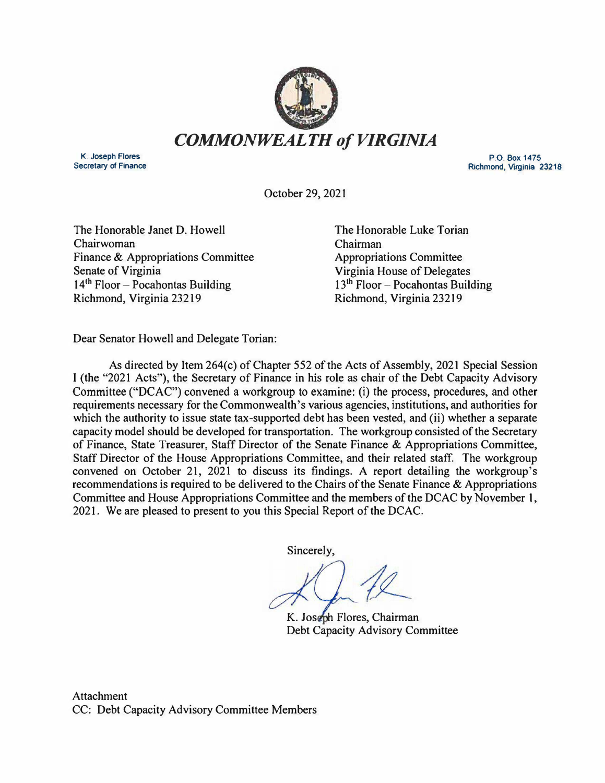

**K. Joseph Flores Secretary of Finance** 

**p\_Q\_ Box 1475 Richmond, Virginia 23218** 

October 29, 2021

The Honorable Janet D. Howell Chairwoman Finance & Appropriations Committee Senate of Virginia  $14<sup>th</sup>$  Floor - Pocahontas Building Richmond, Virginia 23219

The Honorable Luke Torian Chairman Appropriations Committee Virginia House of Delegates  $13<sup>th</sup>$  Floor – Pocahontas Building Richmond, Virginia 23219

Dear Senator Howell and Delegate Torian:

As directed by Item 264(c) of Chapter 552 of the Acts of Assembly, 2021 Special Session I (the "2021 Acts"), the Secretary of Finance in his role as chair of the Debt Capacity Advisory Committee ("DCAC") convened a workgroup to examine: (i) the process, procedures, and other requirements necessary for the Commonwealth's various agencies, institutions, and authorities for which the authority to issue state tax-supported debt has been vested, and (ii) whether a separate capacity model should be developed for transportation. The workgroup consisted of the Secretary of Finance, State Treasurer, Staff Director of the Senate Finance & Appropriations Committee, Staff Director of the House Appropriations Committee, and their related staff. The workgroup convened on October 21, 2021 to discuss its findings. A report detailing the workgroup's recommendations is required to be delivered to the Chairs of the Senate Finance  $\&$  Appropriations Committee and House Appropriations Committee and the members of the DCAC by November 1, 2021. We are pleased to present to you this Special Report of the DCAC.

Sincerely,

K. Joseph Flores, Chairman Debt Capacity Advisory Committee

Attachment CC: Debt Capacity Advisory Committee Members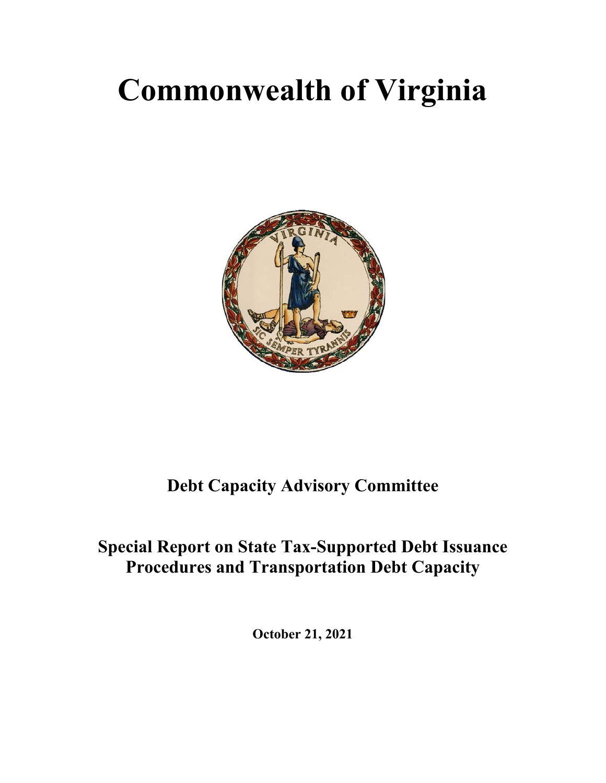# **Commonwealth of Virginia**



# **Debt Capacity Advisory Committee**

# **Special Report on State Tax-Supported Debt Issuance Procedures and Transportation Debt Capacity**

**October 21, 2021**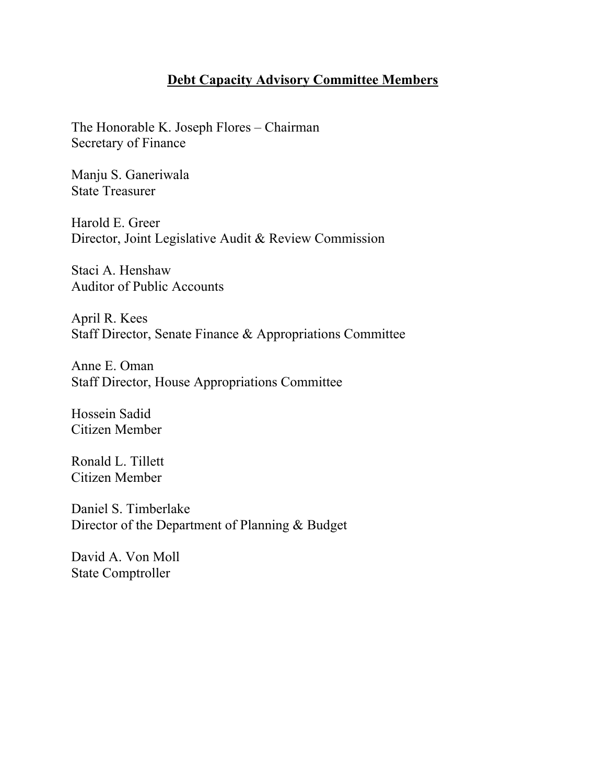## **Debt Capacity Advisory Committee Members**

The Honorable K. Joseph Flores – Chairman Secretary of Finance

Manju S. Ganeriwala State Treasurer

Harold E. Greer Director, Joint Legislative Audit & Review Commission

Staci A. Henshaw Auditor of Public Accounts

April R. Kees Staff Director, Senate Finance & Appropriations Committee

Anne E. Oman Staff Director, House Appropriations Committee

Hossein Sadid Citizen Member

Ronald L. Tillett Citizen Member

Daniel S. Timberlake Director of the Department of Planning & Budget

David A. Von Moll State Comptroller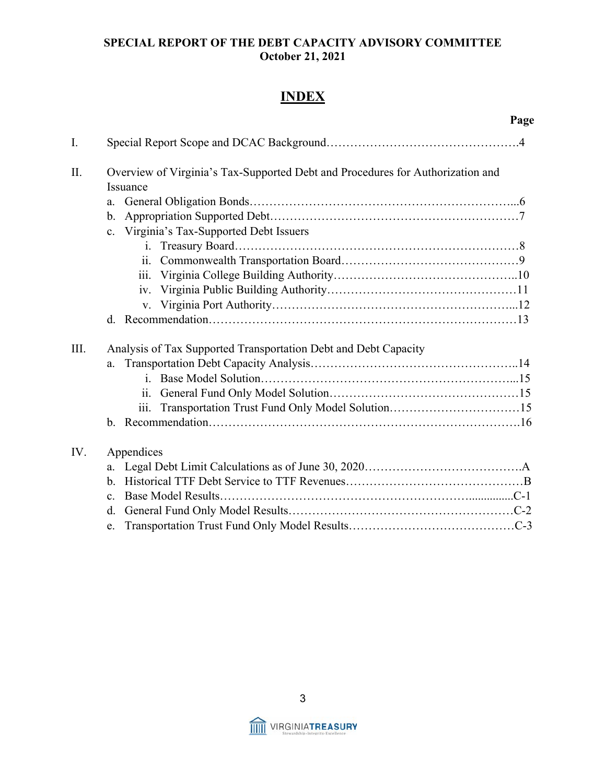# **INDEX**

|      | Page                                                                           |  |  |  |  |  |  |  |  |  |  |
|------|--------------------------------------------------------------------------------|--|--|--|--|--|--|--|--|--|--|
| I.   |                                                                                |  |  |  |  |  |  |  |  |  |  |
| II.  | Overview of Virginia's Tax-Supported Debt and Procedures for Authorization and |  |  |  |  |  |  |  |  |  |  |
|      | Issuance                                                                       |  |  |  |  |  |  |  |  |  |  |
|      | a.                                                                             |  |  |  |  |  |  |  |  |  |  |
|      | b.                                                                             |  |  |  |  |  |  |  |  |  |  |
|      | Virginia's Tax-Supported Debt Issuers<br>$c_{\cdot}$                           |  |  |  |  |  |  |  |  |  |  |
|      |                                                                                |  |  |  |  |  |  |  |  |  |  |
|      | ii.                                                                            |  |  |  |  |  |  |  |  |  |  |
|      | 111.                                                                           |  |  |  |  |  |  |  |  |  |  |
|      | iv.                                                                            |  |  |  |  |  |  |  |  |  |  |
|      | V.                                                                             |  |  |  |  |  |  |  |  |  |  |
|      |                                                                                |  |  |  |  |  |  |  |  |  |  |
| III. | Analysis of Tax Supported Transportation Debt and Debt Capacity                |  |  |  |  |  |  |  |  |  |  |
|      | a.                                                                             |  |  |  |  |  |  |  |  |  |  |
|      |                                                                                |  |  |  |  |  |  |  |  |  |  |
|      |                                                                                |  |  |  |  |  |  |  |  |  |  |
|      | iii.                                                                           |  |  |  |  |  |  |  |  |  |  |
|      |                                                                                |  |  |  |  |  |  |  |  |  |  |
| IV.  | Appendices                                                                     |  |  |  |  |  |  |  |  |  |  |
|      | a.                                                                             |  |  |  |  |  |  |  |  |  |  |
|      | $\mathbf{b}$ .                                                                 |  |  |  |  |  |  |  |  |  |  |
|      | c.                                                                             |  |  |  |  |  |  |  |  |  |  |
|      | d.                                                                             |  |  |  |  |  |  |  |  |  |  |
|      |                                                                                |  |  |  |  |  |  |  |  |  |  |



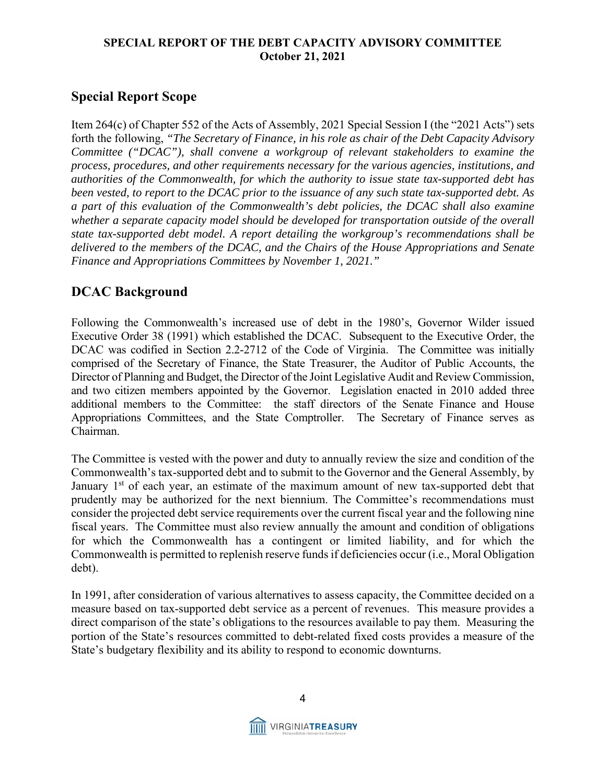# **Special Report Scope**

Item 264(c) of Chapter 552 of the Acts of Assembly, 2021 Special Session I (the "2021 Acts") sets forth the following, *"The Secretary of Finance, in his role as chair of the Debt Capacity Advisory Committee ("DCAC"), shall convene a workgroup of relevant stakeholders to examine the process, procedures, and other requirements necessary for the various agencies, institutions, and authorities of the Commonwealth, for which the authority to issue state tax-supported debt has been vested, to report to the DCAC prior to the issuance of any such state tax-supported debt. As a part of this evaluation of the Commonwealth's debt policies, the DCAC shall also examine whether a separate capacity model should be developed for transportation outside of the overall state tax-supported debt model. A report detailing the workgroup's recommendations shall be delivered to the members of the DCAC, and the Chairs of the House Appropriations and Senate Finance and Appropriations Committees by November 1, 2021."*

# **DCAC Background**

Following the Commonwealth's increased use of debt in the 1980's, Governor Wilder issued Executive Order 38 (1991) which established the DCAC. Subsequent to the Executive Order, the DCAC was codified in Section 2.2-2712 of the Code of Virginia. The Committee was initially comprised of the Secretary of Finance, the State Treasurer, the Auditor of Public Accounts, the Director of Planning and Budget, the Director of the Joint Legislative Audit and Review Commission, and two citizen members appointed by the Governor. Legislation enacted in 2010 added three additional members to the Committee: the staff directors of the Senate Finance and House Appropriations Committees, and the State Comptroller. The Secretary of Finance serves as Chairman.

The Committee is vested with the power and duty to annually review the size and condition of the Commonwealth's tax-supported debt and to submit to the Governor and the General Assembly, by January  $1<sup>st</sup>$  of each year, an estimate of the maximum amount of new tax-supported debt that prudently may be authorized for the next biennium. The Committee's recommendations must consider the projected debt service requirements over the current fiscal year and the following nine fiscal years. The Committee must also review annually the amount and condition of obligations for which the Commonwealth has a contingent or limited liability, and for which the Commonwealth is permitted to replenish reserve funds if deficiencies occur (i.e., Moral Obligation debt).

In 1991, after consideration of various alternatives to assess capacity, the Committee decided on a measure based on tax-supported debt service as a percent of revenues. This measure provides a direct comparison of the state's obligations to the resources available to pay them. Measuring the portion of the State's resources committed to debt-related fixed costs provides a measure of the State's budgetary flexibility and its ability to respond to economic downturns.

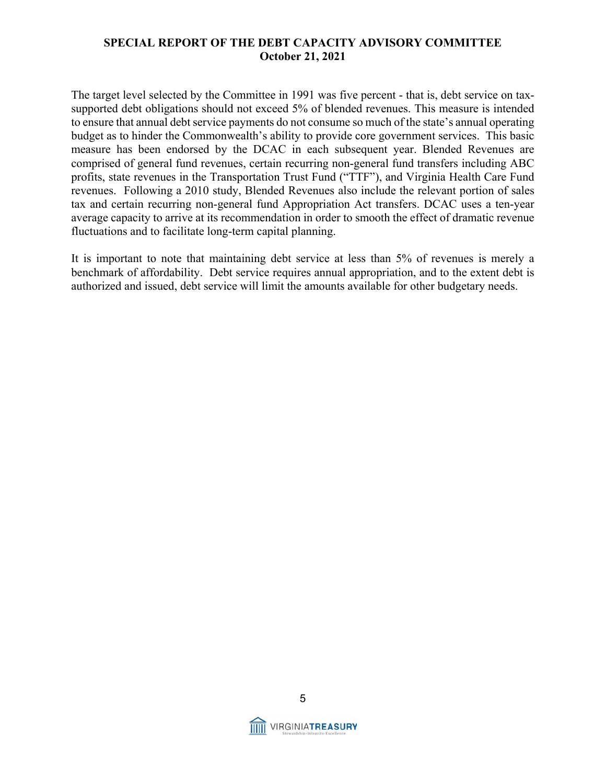The target level selected by the Committee in 1991 was five percent - that is, debt service on taxsupported debt obligations should not exceed 5% of blended revenues. This measure is intended to ensure that annual debt service payments do not consume so much of the state's annual operating budget as to hinder the Commonwealth's ability to provide core government services. This basic measure has been endorsed by the DCAC in each subsequent year. Blended Revenues are comprised of general fund revenues, certain recurring non-general fund transfers including ABC profits, state revenues in the Transportation Trust Fund ("TTF"), and Virginia Health Care Fund revenues. Following a 2010 study, Blended Revenues also include the relevant portion of sales tax and certain recurring non-general fund Appropriation Act transfers. DCAC uses a ten-year average capacity to arrive at its recommendation in order to smooth the effect of dramatic revenue fluctuations and to facilitate long-term capital planning.

It is important to note that maintaining debt service at less than 5% of revenues is merely a benchmark of affordability. Debt service requires annual appropriation, and to the extent debt is authorized and issued, debt service will limit the amounts available for other budgetary needs.

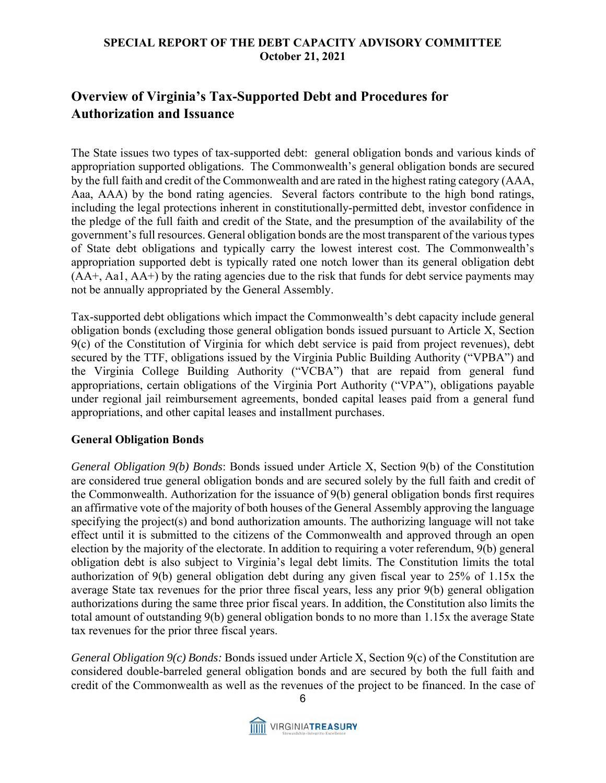# **Overview of Virginia's Tax-Supported Debt and Procedures for Authorization and Issuance**

The State issues two types of tax-supported debt: general obligation bonds and various kinds of appropriation supported obligations. The Commonwealth's general obligation bonds are secured by the full faith and credit of the Commonwealth and are rated in the highest rating category (AAA, Aaa, AAA) by the bond rating agencies. Several factors contribute to the high bond ratings, including the legal protections inherent in constitutionally-permitted debt, investor confidence in the pledge of the full faith and credit of the State, and the presumption of the availability of the government's full resources. General obligation bonds are the most transparent of the various types of State debt obligations and typically carry the lowest interest cost. The Commonwealth's appropriation supported debt is typically rated one notch lower than its general obligation debt  $(AA<sup>+</sup>, Aa1, AA<sup>+</sup>)$  by the rating agencies due to the risk that funds for debt service payments may not be annually appropriated by the General Assembly.

Tax-supported debt obligations which impact the Commonwealth's debt capacity include general obligation bonds (excluding those general obligation bonds issued pursuant to Article X, Section 9(c) of the Constitution of Virginia for which debt service is paid from project revenues), debt secured by the TTF, obligations issued by the Virginia Public Building Authority ("VPBA") and the Virginia College Building Authority ("VCBA") that are repaid from general fund appropriations, certain obligations of the Virginia Port Authority ("VPA"), obligations payable under regional jail reimbursement agreements, bonded capital leases paid from a general fund appropriations, and other capital leases and installment purchases.

#### **General Obligation Bonds**

*General Obligation 9(b) Bonds*: Bonds issued under Article X, Section 9(b) of the Constitution are considered true general obligation bonds and are secured solely by the full faith and credit of the Commonwealth. Authorization for the issuance of 9(b) general obligation bonds first requires an affirmative vote of the majority of both houses of the General Assembly approving the language specifying the project(s) and bond authorization amounts. The authorizing language will not take effect until it is submitted to the citizens of the Commonwealth and approved through an open election by the majority of the electorate. In addition to requiring a voter referendum, 9(b) general obligation debt is also subject to Virginia's legal debt limits. The Constitution limits the total authorization of 9(b) general obligation debt during any given fiscal year to 25% of 1.15x the average State tax revenues for the prior three fiscal years, less any prior 9(b) general obligation authorizations during the same three prior fiscal years. In addition, the Constitution also limits the total amount of outstanding 9(b) general obligation bonds to no more than 1.15x the average State tax revenues for the prior three fiscal years.

*General Obligation 9(c) Bonds:* Bonds issued under Article X, Section 9(c) of the Constitution are considered double-barreled general obligation bonds and are secured by both the full faith and credit of the Commonwealth as well as the revenues of the project to be financed. In the case of

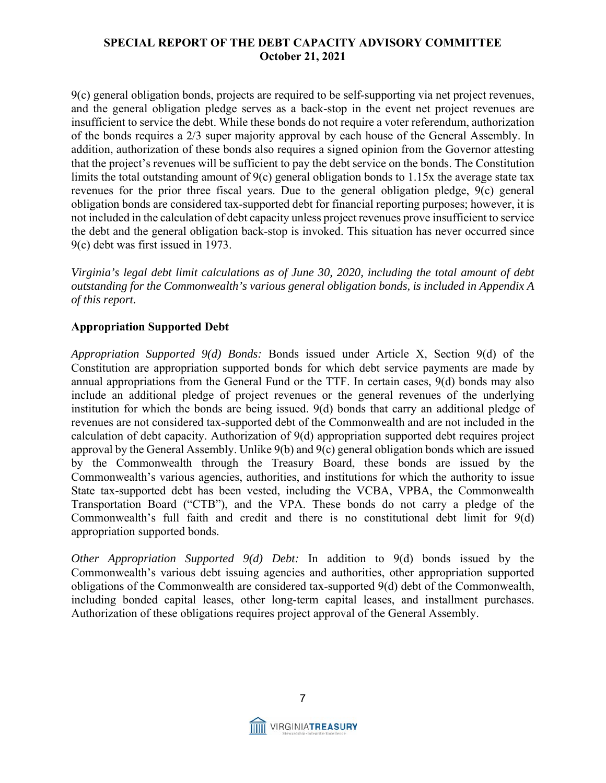9(c) general obligation bonds, projects are required to be self-supporting via net project revenues, and the general obligation pledge serves as a back-stop in the event net project revenues are insufficient to service the debt. While these bonds do not require a voter referendum, authorization of the bonds requires a 2/3 super majority approval by each house of the General Assembly. In addition, authorization of these bonds also requires a signed opinion from the Governor attesting that the project's revenues will be sufficient to pay the debt service on the bonds. The Constitution limits the total outstanding amount of 9(c) general obligation bonds to 1.15x the average state tax revenues for the prior three fiscal years. Due to the general obligation pledge, 9(c) general obligation bonds are considered tax-supported debt for financial reporting purposes; however, it is not included in the calculation of debt capacity unless project revenues prove insufficient to service the debt and the general obligation back-stop is invoked. This situation has never occurred since 9(c) debt was first issued in 1973.

*Virginia's legal debt limit calculations as of June 30, 2020, including the total amount of debt outstanding for the Commonwealth's various general obligation bonds, is included in Appendix A of this report.* 

#### **Appropriation Supported Debt**

*Appropriation Supported 9(d) Bonds:* Bonds issued under Article X, Section 9(d) of the Constitution are appropriation supported bonds for which debt service payments are made by annual appropriations from the General Fund or the TTF. In certain cases, 9(d) bonds may also include an additional pledge of project revenues or the general revenues of the underlying institution for which the bonds are being issued. 9(d) bonds that carry an additional pledge of revenues are not considered tax-supported debt of the Commonwealth and are not included in the calculation of debt capacity. Authorization of 9(d) appropriation supported debt requires project approval by the General Assembly. Unlike 9(b) and 9(c) general obligation bonds which are issued by the Commonwealth through the Treasury Board, these bonds are issued by the Commonwealth's various agencies, authorities, and institutions for which the authority to issue State tax-supported debt has been vested, including the VCBA, VPBA, the Commonwealth Transportation Board ("CTB"), and the VPA. These bonds do not carry a pledge of the Commonwealth's full faith and credit and there is no constitutional debt limit for 9(d) appropriation supported bonds.

*Other Appropriation Supported 9(d) Debt:* In addition to 9(d) bonds issued by the Commonwealth's various debt issuing agencies and authorities, other appropriation supported obligations of the Commonwealth are considered tax-supported 9(d) debt of the Commonwealth, including bonded capital leases, other long-term capital leases, and installment purchases. Authorization of these obligations requires project approval of the General Assembly.

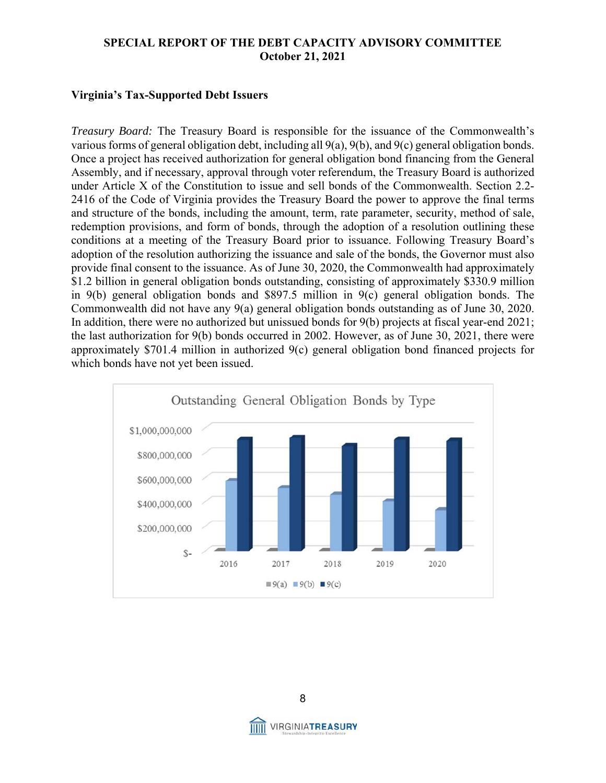#### **Virginia's Tax-Supported Debt Issuers**

*Treasury Board:* The Treasury Board is responsible for the issuance of the Commonwealth's various forms of general obligation debt, including all 9(a), 9(b), and 9(c) general obligation bonds. Once a project has received authorization for general obligation bond financing from the General Assembly, and if necessary, approval through voter referendum, the Treasury Board is authorized under Article X of the Constitution to issue and sell bonds of the Commonwealth. Section 2.2- 2416 of the Code of Virginia provides the Treasury Board the power to approve the final terms and structure of the bonds, including the amount, term, rate parameter, security, method of sale, redemption provisions, and form of bonds, through the adoption of a resolution outlining these conditions at a meeting of the Treasury Board prior to issuance. Following Treasury Board's adoption of the resolution authorizing the issuance and sale of the bonds, the Governor must also provide final consent to the issuance. As of June 30, 2020, the Commonwealth had approximately \$1.2 billion in general obligation bonds outstanding, consisting of approximately \$330.9 million in  $9(b)$  general obligation bonds and \$897.5 million in  $9(c)$  general obligation bonds. The Commonwealth did not have any 9(a) general obligation bonds outstanding as of June 30, 2020. In addition, there were no authorized but unissued bonds for 9(b) projects at fiscal year-end 2021; the last authorization for 9(b) bonds occurred in 2002. However, as of June 30, 2021, there were approximately \$701.4 million in authorized 9(c) general obligation bond financed projects for which bonds have not yet been issued.



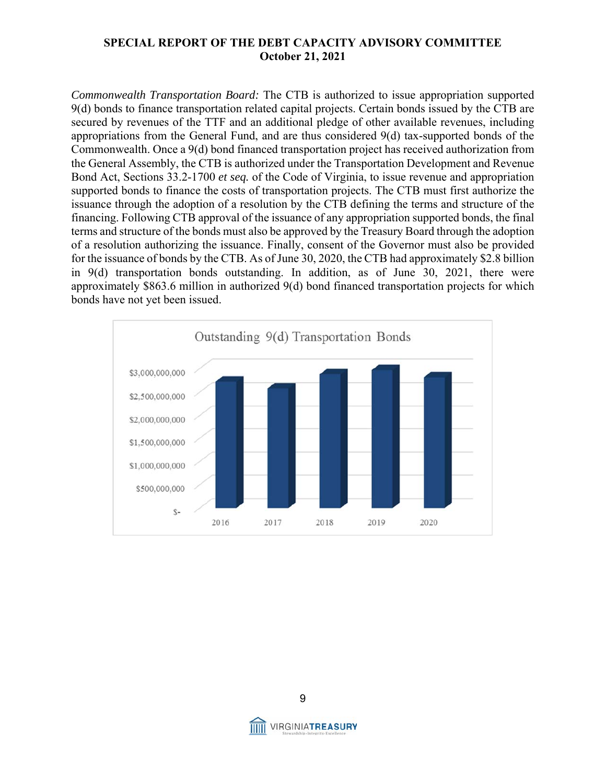*Commonwealth Transportation Board:* The CTB is authorized to issue appropriation supported 9(d) bonds to finance transportation related capital projects. Certain bonds issued by the CTB are secured by revenues of the TTF and an additional pledge of other available revenues, including appropriations from the General Fund, and are thus considered 9(d) tax-supported bonds of the Commonwealth. Once a 9(d) bond financed transportation project has received authorization from the General Assembly, the CTB is authorized under the Transportation Development and Revenue Bond Act, Sections 33.2-1700 *et seq.* of the Code of Virginia, to issue revenue and appropriation supported bonds to finance the costs of transportation projects. The CTB must first authorize the issuance through the adoption of a resolution by the CTB defining the terms and structure of the financing. Following CTB approval of the issuance of any appropriation supported bonds, the final terms and structure of the bonds must also be approved by the Treasury Board through the adoption of a resolution authorizing the issuance. Finally, consent of the Governor must also be provided for the issuance of bonds by the CTB. As of June 30, 2020, the CTB had approximately \$2.8 billion in 9(d) transportation bonds outstanding. In addition, as of June 30, 2021, there were approximately \$863.6 million in authorized 9(d) bond financed transportation projects for which bonds have not yet been issued.





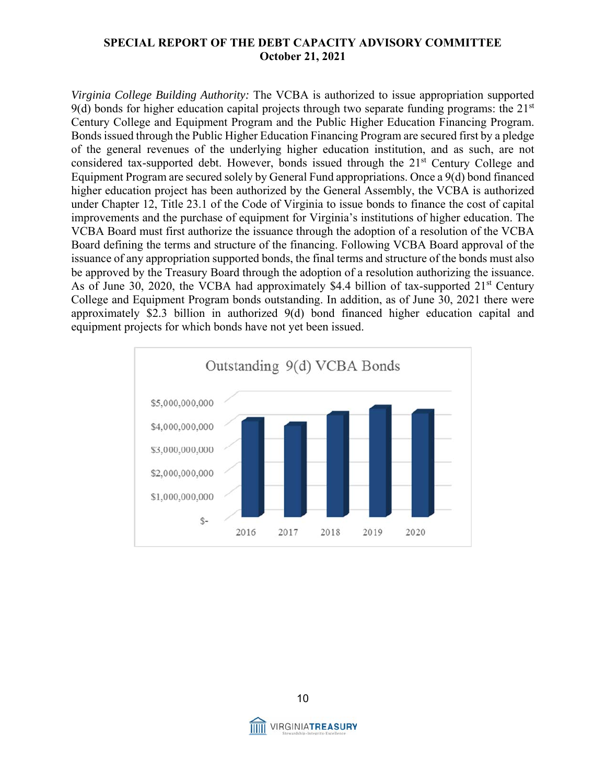*Virginia College Building Authority:* The VCBA is authorized to issue appropriation supported 9(d) bonds for higher education capital projects through two separate funding programs: the  $21<sup>st</sup>$ Century College and Equipment Program and the Public Higher Education Financing Program. Bonds issued through the Public Higher Education Financing Program are secured first by a pledge of the general revenues of the underlying higher education institution, and as such, are not considered tax-supported debt. However, bonds issued through the 21<sup>st</sup> Century College and Equipment Program are secured solely by General Fund appropriations. Once a 9(d) bond financed higher education project has been authorized by the General Assembly, the VCBA is authorized under Chapter 12, Title 23.1 of the Code of Virginia to issue bonds to finance the cost of capital improvements and the purchase of equipment for Virginia's institutions of higher education. The VCBA Board must first authorize the issuance through the adoption of a resolution of the VCBA Board defining the terms and structure of the financing. Following VCBA Board approval of the issuance of any appropriation supported bonds, the final terms and structure of the bonds must also be approved by the Treasury Board through the adoption of a resolution authorizing the issuance. As of June 30, 2020, the VCBA had approximately \$4.4 billion of tax-supported  $21<sup>st</sup>$  Century College and Equipment Program bonds outstanding. In addition, as of June 30, 2021 there were approximately \$2.3 billion in authorized 9(d) bond financed higher education capital and equipment projects for which bonds have not yet been issued.



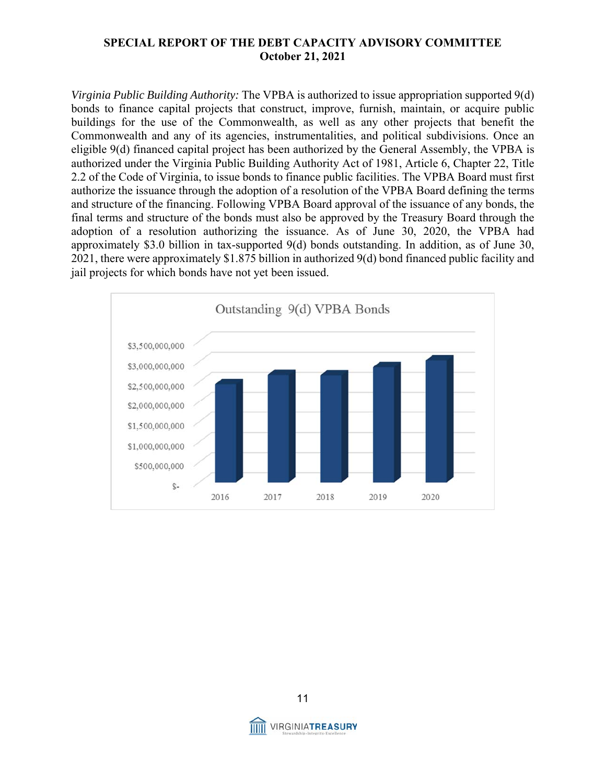*Virginia Public Building Authority:* The VPBA is authorized to issue appropriation supported 9(d) bonds to finance capital projects that construct, improve, furnish, maintain, or acquire public buildings for the use of the Commonwealth, as well as any other projects that benefit the Commonwealth and any of its agencies, instrumentalities, and political subdivisions. Once an eligible 9(d) financed capital project has been authorized by the General Assembly, the VPBA is authorized under the Virginia Public Building Authority Act of 1981, Article 6, Chapter 22, Title 2.2 of the Code of Virginia, to issue bonds to finance public facilities. The VPBA Board must first authorize the issuance through the adoption of a resolution of the VPBA Board defining the terms and structure of the financing. Following VPBA Board approval of the issuance of any bonds, the final terms and structure of the bonds must also be approved by the Treasury Board through the adoption of a resolution authorizing the issuance. As of June 30, 2020, the VPBA had approximately \$3.0 billion in tax-supported 9(d) bonds outstanding. In addition, as of June 30, 2021, there were approximately \$1.875 billion in authorized 9(d) bond financed public facility and jail projects for which bonds have not yet been issued.



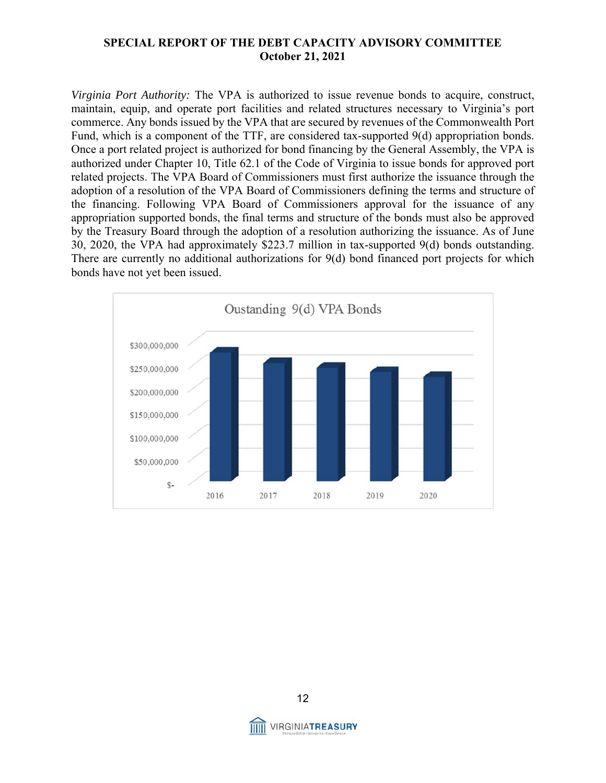*Virginia Port Authority:* The VPA is authorized to issue revenue bonds to acquire, construct, maintain, equip, and operate port facilities and related structures necessary to Virginia's port commerce. Any bonds issued by the VPA that are secured by revenues of the Commonwealth Port Fund, which is a component of the TTF, are considered tax-supported 9(d) appropriation bonds. Once a port related project is authorized for bond financing by the General Assembly, the VPA is authorized under Chapter 10, Title 62.1 of the Code of Virginia to issue bonds for approved port related projects. The VPA Board of Commissioners must first authorize the issuance through the adoption of a resolution of the VPA Board of Commissioners defining the terms and structure of the financing. Following VPA Board of Commissioners approval for the issuance of any appropriation supported bonds, the final terms and structure of the bonds must also be approved by the Treasury Board through the adoption of a resolution authorizing the issuance. As of June 30, 2020, the VPA had approximately \$223.7 million in tax-supported 9(d) bonds outstanding. There are currently no additional authorizations for 9(d) bond financed port projects for which bonds have not yet been issued.



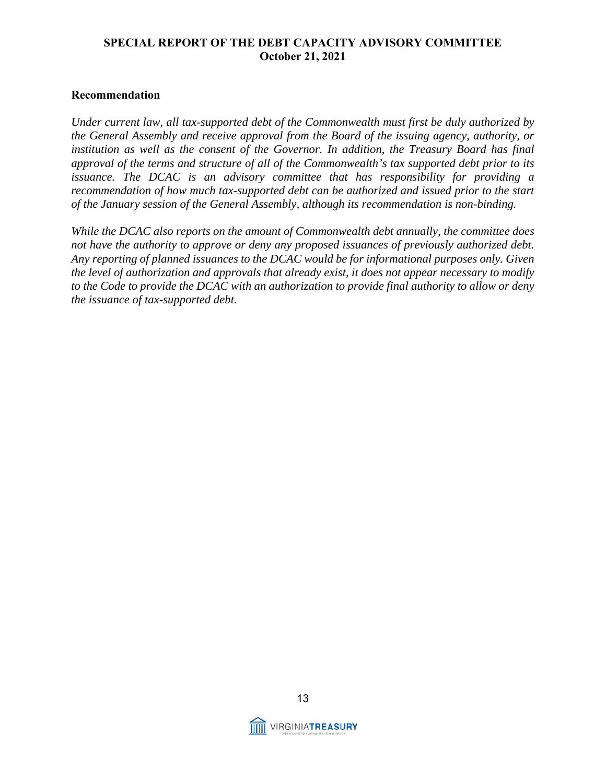#### **Recommendation**

*Under current law, all tax-supported debt of the Commonwealth must first be duly authorized by the General Assembly and receive approval from the Board of the issuing agency, authority, or*  institution as well as the consent of the Governor. In addition, the Treasury Board has final *approval of the terms and structure of all of the Commonwealth's tax supported debt prior to its issuance. The DCAC is an advisory committee that has responsibility for providing a recommendation of how much tax-supported debt can be authorized and issued prior to the start of the January session of the General Assembly, although its recommendation is non-binding.* 

*While the DCAC also reports on the amount of Commonwealth debt annually, the committee does not have the authority to approve or deny any proposed issuances of previously authorized debt. Any reporting of planned issuances to the DCAC would be for informational purposes only. Given the level of authorization and approvals that already exist, it does not appear necessary to modify to the Code to provide the DCAC with an authorization to provide final authority to allow or deny the issuance of tax-supported debt.* 

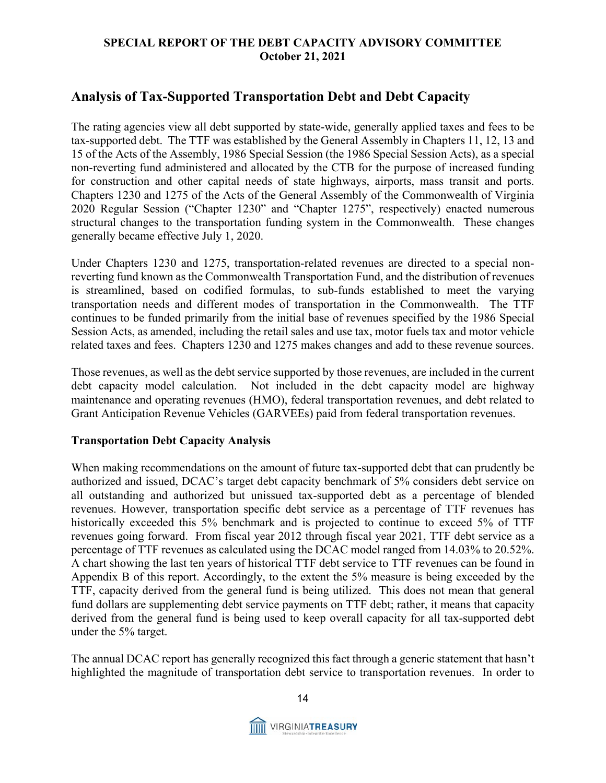# **Analysis of Tax-Supported Transportation Debt and Debt Capacity**

The rating agencies view all debt supported by state-wide, generally applied taxes and fees to be tax-supported debt. The TTF was established by the General Assembly in Chapters 11, 12, 13 and 15 of the Acts of the Assembly, 1986 Special Session (the 1986 Special Session Acts), as a special non-reverting fund administered and allocated by the CTB for the purpose of increased funding for construction and other capital needs of state highways, airports, mass transit and ports. Chapters 1230 and 1275 of the Acts of the General Assembly of the Commonwealth of Virginia 2020 Regular Session ("Chapter 1230" and "Chapter 1275", respectively) enacted numerous structural changes to the transportation funding system in the Commonwealth. These changes generally became effective July 1, 2020.

Under Chapters 1230 and 1275, transportation-related revenues are directed to a special nonreverting fund known as the Commonwealth Transportation Fund, and the distribution of revenues is streamlined, based on codified formulas, to sub-funds established to meet the varying transportation needs and different modes of transportation in the Commonwealth. The TTF continues to be funded primarily from the initial base of revenues specified by the 1986 Special Session Acts, as amended, including the retail sales and use tax, motor fuels tax and motor vehicle related taxes and fees. Chapters 1230 and 1275 makes changes and add to these revenue sources.

Those revenues, as well as the debt service supported by those revenues, are included in the current debt capacity model calculation. Not included in the debt capacity model are highway maintenance and operating revenues (HMO), federal transportation revenues, and debt related to Grant Anticipation Revenue Vehicles (GARVEEs) paid from federal transportation revenues.

#### **Transportation Debt Capacity Analysis**

When making recommendations on the amount of future tax-supported debt that can prudently be authorized and issued, DCAC's target debt capacity benchmark of 5% considers debt service on all outstanding and authorized but unissued tax-supported debt as a percentage of blended revenues. However, transportation specific debt service as a percentage of TTF revenues has historically exceeded this 5% benchmark and is projected to continue to exceed 5% of TTF revenues going forward. From fiscal year 2012 through fiscal year 2021, TTF debt service as a percentage of TTF revenues as calculated using the DCAC model ranged from 14.03% to 20.52%. A chart showing the last ten years of historical TTF debt service to TTF revenues can be found in Appendix B of this report. Accordingly, to the extent the 5% measure is being exceeded by the TTF, capacity derived from the general fund is being utilized. This does not mean that general fund dollars are supplementing debt service payments on TTF debt; rather, it means that capacity derived from the general fund is being used to keep overall capacity for all tax-supported debt under the 5% target.

The annual DCAC report has generally recognized this fact through a generic statement that hasn't highlighted the magnitude of transportation debt service to transportation revenues. In order to

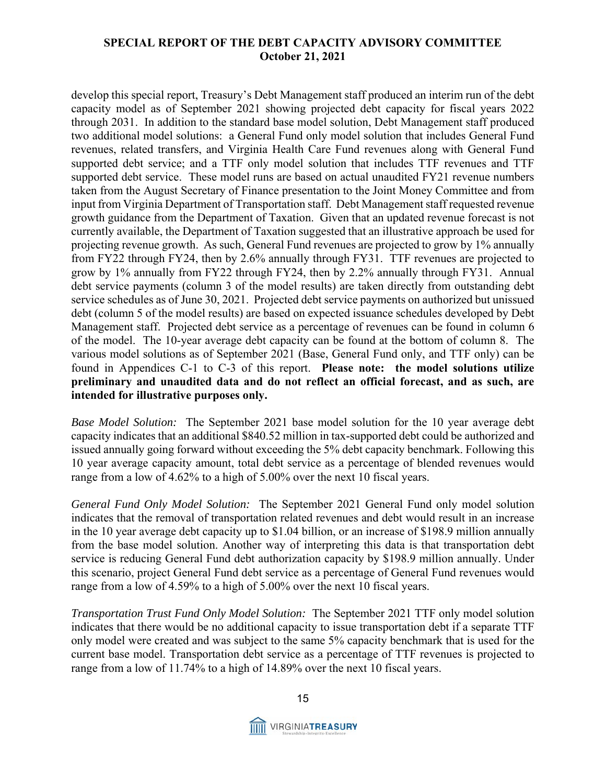develop this special report, Treasury's Debt Management staff produced an interim run of the debt capacity model as of September 2021 showing projected debt capacity for fiscal years 2022 through 2031. In addition to the standard base model solution, Debt Management staff produced two additional model solutions: a General Fund only model solution that includes General Fund revenues, related transfers, and Virginia Health Care Fund revenues along with General Fund supported debt service; and a TTF only model solution that includes TTF revenues and TTF supported debt service. These model runs are based on actual unaudited FY21 revenue numbers taken from the August Secretary of Finance presentation to the Joint Money Committee and from input from Virginia Department of Transportation staff. Debt Management staff requested revenue growth guidance from the Department of Taxation. Given that an updated revenue forecast is not currently available, the Department of Taxation suggested that an illustrative approach be used for projecting revenue growth. As such, General Fund revenues are projected to grow by 1% annually from FY22 through FY24, then by 2.6% annually through FY31. TTF revenues are projected to grow by 1% annually from FY22 through FY24, then by 2.2% annually through FY31. Annual debt service payments (column 3 of the model results) are taken directly from outstanding debt service schedules as of June 30, 2021. Projected debt service payments on authorized but unissued debt (column 5 of the model results) are based on expected issuance schedules developed by Debt Management staff. Projected debt service as a percentage of revenues can be found in column 6 of the model. The 10-year average debt capacity can be found at the bottom of column 8. The various model solutions as of September 2021 (Base, General Fund only, and TTF only) can be found in Appendices C-1 to C-3 of this report. **Please note: the model solutions utilize preliminary and unaudited data and do not reflect an official forecast, and as such, are intended for illustrative purposes only.**

*Base Model Solution:* The September 2021 base model solution for the 10 year average debt capacity indicates that an additional \$840.52 million in tax-supported debt could be authorized and issued annually going forward without exceeding the 5% debt capacity benchmark. Following this 10 year average capacity amount, total debt service as a percentage of blended revenues would range from a low of 4.62% to a high of 5.00% over the next 10 fiscal years.

*General Fund Only Model Solution:* The September 2021 General Fund only model solution indicates that the removal of transportation related revenues and debt would result in an increase in the 10 year average debt capacity up to \$1.04 billion, or an increase of \$198.9 million annually from the base model solution. Another way of interpreting this data is that transportation debt service is reducing General Fund debt authorization capacity by \$198.9 million annually. Under this scenario, project General Fund debt service as a percentage of General Fund revenues would range from a low of 4.59% to a high of 5.00% over the next 10 fiscal years.

*Transportation Trust Fund Only Model Solution:* The September 2021 TTF only model solution indicates that there would be no additional capacity to issue transportation debt if a separate TTF only model were created and was subject to the same 5% capacity benchmark that is used for the current base model. Transportation debt service as a percentage of TTF revenues is projected to range from a low of 11.74% to a high of 14.89% over the next 10 fiscal years.

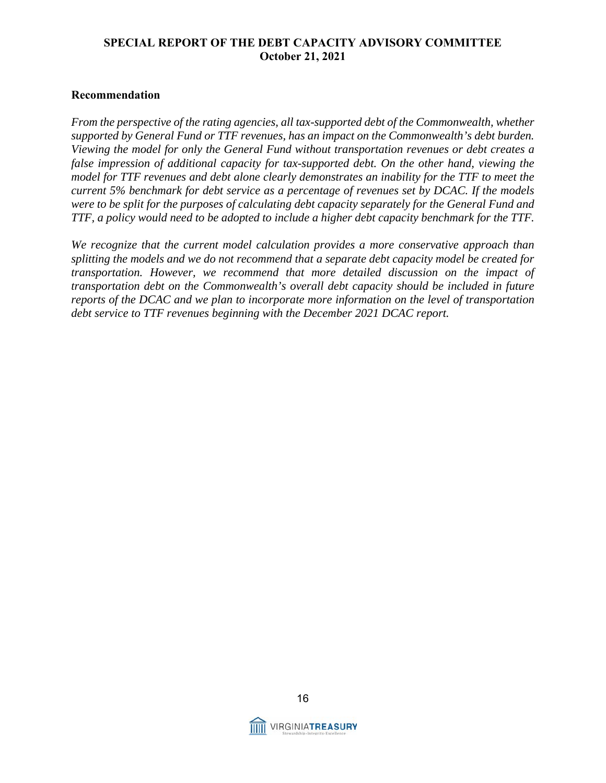#### **Recommendation**

*From the perspective of the rating agencies, all tax-supported debt of the Commonwealth, whether supported by General Fund or TTF revenues, has an impact on the Commonwealth's debt burden. Viewing the model for only the General Fund without transportation revenues or debt creates a false impression of additional capacity for tax-supported debt. On the other hand, viewing the model for TTF revenues and debt alone clearly demonstrates an inability for the TTF to meet the current 5% benchmark for debt service as a percentage of revenues set by DCAC. If the models were to be split for the purposes of calculating debt capacity separately for the General Fund and TTF, a policy would need to be adopted to include a higher debt capacity benchmark for the TTF.* 

*We recognize that the current model calculation provides a more conservative approach than splitting the models and we do not recommend that a separate debt capacity model be created for transportation. However, we recommend that more detailed discussion on the impact of transportation debt on the Commonwealth's overall debt capacity should be included in future reports of the DCAC and we plan to incorporate more information on the level of transportation debt service to TTF revenues beginning with the December 2021 DCAC report.* 

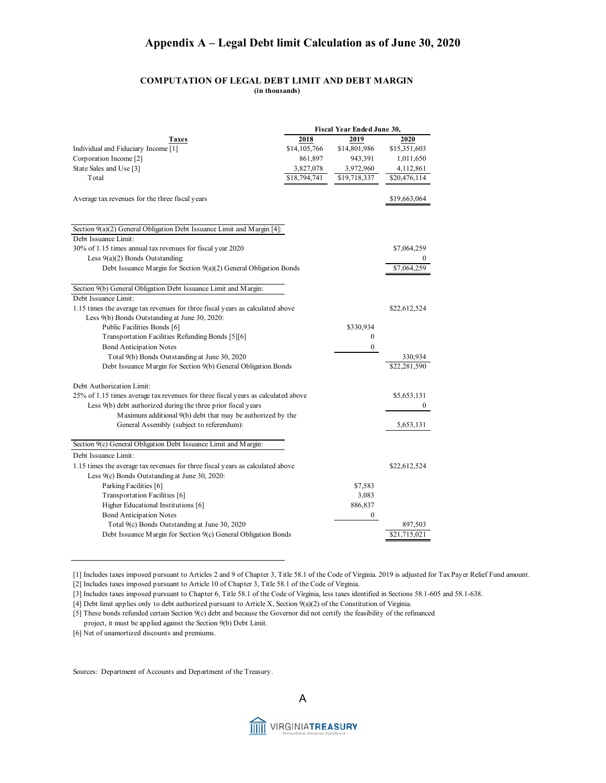#### **Appendix A – Legal Debt limit Calculation as of June 30, 2020**

#### **COMPUTATION OF LEGAL DEBT LIMIT AND DEBT MARGIN (in thousands)**

|                                                                                   | Fiscal Year Ended June 30, |                  |              |  |  |  |
|-----------------------------------------------------------------------------------|----------------------------|------------------|--------------|--|--|--|
| Taxes                                                                             | 2018                       | 2019             | 2020         |  |  |  |
| Individual and Fiduciary Income [1]                                               | \$14,105,766               | \$14,801,986     | \$15,351,603 |  |  |  |
| Corporation Income [2]                                                            | 861,897                    | 943,391          | 1,011,650    |  |  |  |
| State Sales and Use [3]                                                           | 3,827,078                  | 3,972,960        | 4,112,861    |  |  |  |
| Total                                                                             | \$18,794,741               | \$19,718,337     | \$20,476,114 |  |  |  |
| A verage tax revenues for the three fiscal years                                  |                            |                  | \$19,663,064 |  |  |  |
|                                                                                   |                            |                  |              |  |  |  |
| Section 9(a)(2) General Obligation Debt Issuance Limit and Margin [4]:            |                            |                  |              |  |  |  |
| Debt Issuance Limit:                                                              |                            |                  |              |  |  |  |
| 30% of 1.15 times annual tax revenues for fiscal year 2020                        |                            |                  | \$7,064,259  |  |  |  |
| Less $9(a)(2)$ Bonds Outstanding:                                                 |                            |                  | 0            |  |  |  |
| Debt Issuance Margin for Section $9(a)(2)$ General Obligation Bonds               |                            |                  | \$7,064,259  |  |  |  |
| Section 9(b) General Obligation Debt Issuance Limit and Margin:                   |                            |                  |              |  |  |  |
| Debt Issuance Limit:                                                              |                            |                  |              |  |  |  |
| 1.15 times the average tax revenues for three fiscal years as calculated above    |                            |                  | \$22,612,524 |  |  |  |
| Less 9(b) Bonds Outstanding at June 30, 2020:                                     |                            |                  |              |  |  |  |
| Public Facilities Bonds [6]                                                       |                            | \$330,934        |              |  |  |  |
| Transportation Facilities Refunding Bonds [5][6]                                  |                            | $\mathbf{0}$     |              |  |  |  |
| Bond Anticipation Notes                                                           |                            | 0                |              |  |  |  |
| Total 9(b) Bonds Outstanding at June 30, 2020                                     |                            |                  | 330,934      |  |  |  |
| Debt Issuance Margin for Section 9(b) General Obligation Bonds                    |                            |                  | \$22,281,590 |  |  |  |
| Debt Authorization Limit:                                                         |                            |                  |              |  |  |  |
| 25% of 1.15 times average tax revenues for three fiscal years as calculated above |                            |                  | \$5,653,131  |  |  |  |
| Less 9(b) debt authorized during the three prior fiscal years                     |                            |                  | 0            |  |  |  |
| Maximum additional 9(b) debt that may be authorized by the                        |                            |                  |              |  |  |  |
| General Assembly (subject to referendum):                                         |                            |                  | 5,653,131    |  |  |  |
| Section 9(c) General Obligation Debt Issuance Limit and Margin:                   |                            |                  |              |  |  |  |
| Debt Issuance Limit:                                                              |                            |                  |              |  |  |  |
| 1.15 times the average tax revenues for three fiscal years as calculated above    |                            |                  |              |  |  |  |
|                                                                                   |                            |                  | \$22,612,524 |  |  |  |
| Less 9(c) Bonds Outstanding at June 30, 2020:                                     |                            |                  |              |  |  |  |
| Parking Facilities [6]                                                            |                            | \$7,583          |              |  |  |  |
| Transportation Facilities [6]                                                     |                            | 3,083            |              |  |  |  |
| Higher Educational Institutions [6]                                               |                            | 886,837          |              |  |  |  |
| <b>Bond Anticipation Notes</b>                                                    |                            | $\boldsymbol{0}$ |              |  |  |  |
| Total 9(c) Bonds Outstanding at June 30, 2020                                     |                            |                  | 897,503      |  |  |  |
| Debt Issuance Margin for Section 9(c) General Obligation Bonds                    |                            |                  | \$21,715,021 |  |  |  |

[1] Includes taxes imposed pursuant to Articles 2 and 9 of Chapter 3, Title 58.1 of the Code of Virginia. 2019 is adjusted for Tax Payer Relief Fund amount.

[2] Includes taxes imposed pursuant to Article 10 of Chapter 3, Title 58.1 of the Code of Virginia.

[3] Includes taxes imposed pursuant to Chapter 6, Title 58.1 of the Code of Virginia, less taxes identified in Sections 58.1-605 and 58.1-638.

[4] Debt limit applies only to debt authorized pursuant to Article X, Section 9(a)(2) of the Constitution of Virginia.

[5] These bonds refunded certain Section 9(c) debt and because the Governor did not certify the feasibility of the refinanced

project, it must be applied against the Section 9(b) Debt Limit.

[6] Net of unamortized discounts and premiums.

Sources: Department of Accounts and Department of the Treasury.



A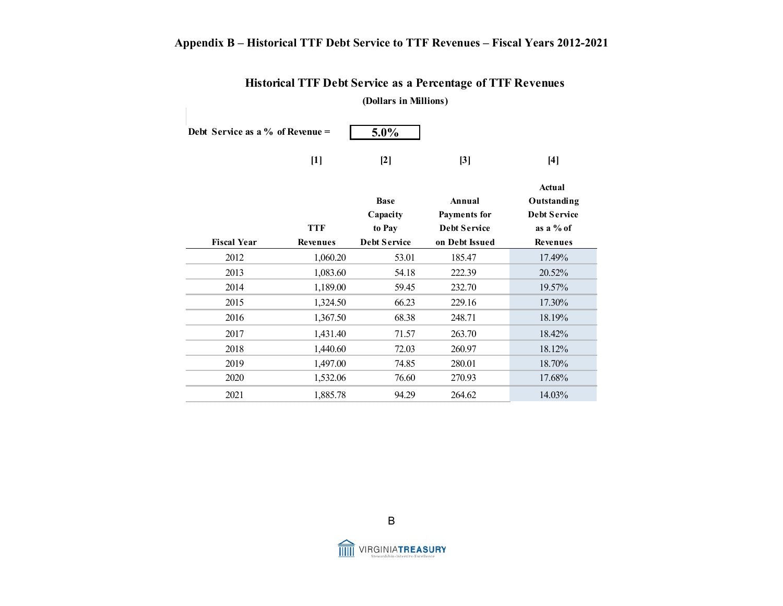## **Appendix B – Historical TTF Debt Service to TTF Revenues – Fiscal Years 2012-2021**

| (Dollars in Millions)                       |                 |                                   |                                                      |                                                             |  |  |  |  |  |  |
|---------------------------------------------|-----------------|-----------------------------------|------------------------------------------------------|-------------------------------------------------------------|--|--|--|--|--|--|
| 5.0%<br>Debt Service as a $\%$ of Revenue = |                 |                                   |                                                      |                                                             |  |  |  |  |  |  |
|                                             | $[1]$           | $[2]$                             | [3]                                                  | $[4]$                                                       |  |  |  |  |  |  |
|                                             | <b>TTF</b>      | <b>Base</b><br>Capacity<br>to Pay | Annual<br><b>Payments</b> for<br><b>Debt Service</b> | Actual<br>Outstanding<br><b>Debt Service</b><br>as a $%$ of |  |  |  |  |  |  |
| <b>Fiscal Year</b>                          | <b>Revenues</b> | <b>Debt Service</b>               | on Debt Issued                                       | Revenues                                                    |  |  |  |  |  |  |
| 2012                                        | 1,060.20        | 53.01                             | 185.47                                               | 17.49%                                                      |  |  |  |  |  |  |
| 2013                                        | 1,083.60        | 54.18                             | 222.39                                               | 20.52%                                                      |  |  |  |  |  |  |
| 2014                                        | 1,189.00        | 59.45                             | 232.70                                               | 19.57%                                                      |  |  |  |  |  |  |
| 2015                                        | 1,324.50        | 66.23                             | 229.16                                               | 17.30%                                                      |  |  |  |  |  |  |
| 2016                                        | 1,367.50        | 68.38                             | 248.71                                               | 18.19%                                                      |  |  |  |  |  |  |
| 2017                                        | 1,431.40        | 71.57                             | 263.70                                               | 18.42%                                                      |  |  |  |  |  |  |
| 2018                                        | 1,440.60        | 72.03                             | 260.97                                               | 18.12%                                                      |  |  |  |  |  |  |
| 2019                                        | 1,497.00        | 74.85                             | 280.01                                               | 18.70%                                                      |  |  |  |  |  |  |
| 2020                                        | 1,532.06        | 76.60                             | 270.93                                               | 17.68%                                                      |  |  |  |  |  |  |
| 2021                                        | 1,885.78        | 94.29                             | 264.62                                               | 14.03%                                                      |  |  |  |  |  |  |

#### **Historical TTF Debt Service as a Percentage of TTF Revenues (Dollars in Millions)**



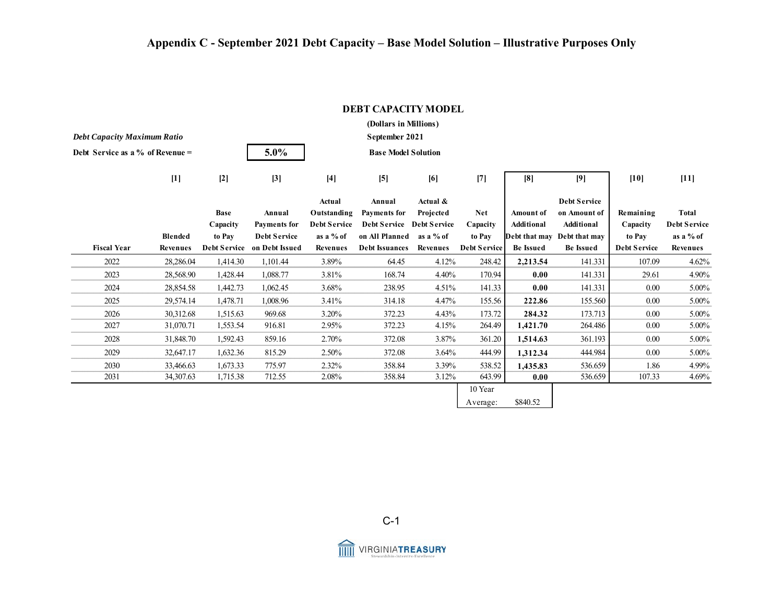| (Dollars in Millions)              |                |                |                             |                     |                            |           |                     |                  |                     |                     |              |
|------------------------------------|----------------|----------------|-----------------------------|---------------------|----------------------------|-----------|---------------------|------------------|---------------------|---------------------|--------------|
| <b>Debt Capacity Maximum Ratio</b> |                | September 2021 |                             |                     |                            |           |                     |                  |                     |                     |              |
| Debt Service as a % of Revenue $=$ |                |                | 5.0%                        |                     | <b>Base Model Solution</b> |           |                     |                  |                     |                     |              |
|                                    | $[1]$          | $[2]$          | $[3]$                       | $[4]$               | [5]                        | [6]       | $[7]$               | [8]              | [9]                 | $[10]$              | $[11]$       |
|                                    |                |                |                             | Actual              | Annual                     | Actual &  |                     |                  | <b>Debt Service</b> |                     |              |
|                                    |                | <b>Base</b>    | Annual                      | Outstanding         | <b>Payments for</b>        | Projected | <b>Net</b>          | Amount of        | on Amount of        | Remaining           | Total        |
|                                    |                | Capacity       | <b>Payments</b> for         | <b>Debt Service</b> | Debt Service Debt Service  |           | Capacity            | Additional       | Additional          | Capacity            | Debt Service |
|                                    | <b>Blended</b> | to Pay         | <b>Debt Service</b>         | as a % of           | on All Planned             | as a % of | to Pay              | Debt that may    | Debt that may       | to Pay              | as a % of    |
| <b>Fiscal Year</b>                 | Revenues       |                | Debt Service on Debt Issued | Revenues            | <b>Debt Issuances</b>      | Revenues  | <b>Debt Service</b> | <b>Be Issued</b> | <b>Be Issued</b>    | <b>Debt Service</b> | Revenues     |
| 2022                               | 28,286.04      | 1,414.30       | 1,101.44                    | 3.89%               | 64.45                      | 4.12%     | 248.42              | 2,213.54         | 141.331             | 107.09              | 4.62%        |
| 2023                               | 28,568.90      | 1,428.44       | 1,088.77                    | 3.81%               | 168.74                     | 4.40%     | 170.94              | 0.00             | 141.331             | 29.61               | 4.90%        |
| 2024                               | 28,854.58      | 1,442.73       | 1,062.45                    | 3.68%               | 238.95                     | 4.51%     | 141.33              | 0.00             | 141.331             | $0.00\,$            | 5.00%        |
| 2025                               | 29,574.14      | 1,478.71       | 1,008.96                    | 3.41%               | 314.18                     | 4.47%     | 155.56              | 222.86           | 155.560             | 0.00                | 5.00%        |
| 2026                               | 30,312.68      | 1,515.63       | 969.68                      | 3.20%               | 372.23                     | 4.43%     | 173.72              | 284.32           | 173.713             | 0.00                | 5.00%        |
| 2027                               | 31,070.71      | 1,553.54       | 916.81                      | 2.95%               | 372.23                     | 4.15%     | 264.49              | 1,421.70         | 264.486             | 0.00                | 5.00%        |
| 2028                               | 31,848.70      | 1,592.43       | 859.16                      | 2.70%               | 372.08                     | 3.87%     | 361.20              | 1,514.63         | 361.193             | 0.00                | 5.00%        |
| 2029                               | 32,647.17      | 1,632.36       | 815.29                      | 2.50%               | 372.08                     | 3.64%     | 444.99              | 1,312.34         | 444.984             | $0.00\,$            | 5.00%        |
| 2030                               | 33,466.63      | 1,673.33       | 775.97                      | 2.32%               | 358.84                     | 3.39%     | 538.52              | 1,435.83         | 536.659             | 1.86                | 4.99%        |
| 2031                               | 34,307.63      | 1,715.38       | 712.55                      | 2.08%               | 358.84                     | 3.12%     | 643.99              | 0.00             | 536.659             | 107.33              | 4.69%        |
|                                    |                |                |                             |                     |                            |           | 10 Year             |                  |                     |                     |              |
|                                    |                |                |                             |                     |                            |           | Average:            | \$840.52         |                     |                     |              |

#### **DEBT CAPACITY MODEL**

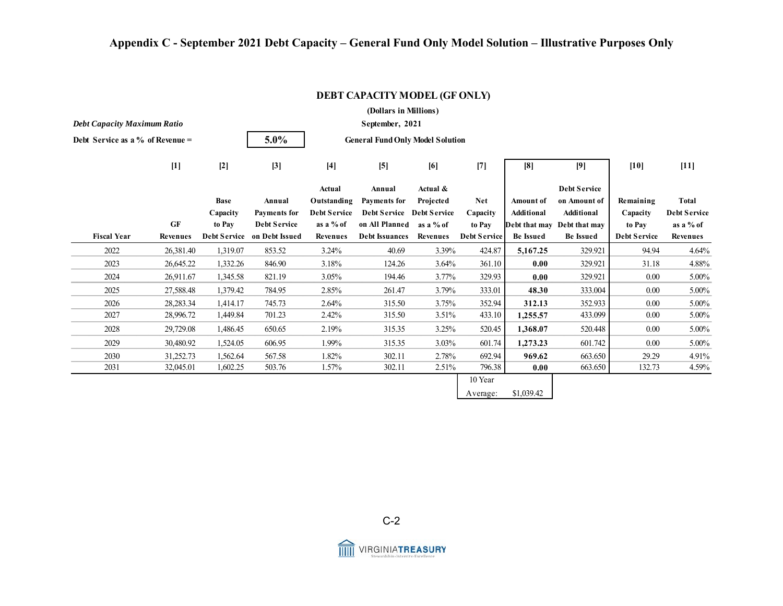## **Appendix C - September 2021 Debt Capacity – General Fund Only Model Solution – Illustrative Purposes Only**

| (Dollars in Millions)              |                              |             |                                                    |                              |                                         |                              |                               |                  |                                                 |                               |                       |
|------------------------------------|------------------------------|-------------|----------------------------------------------------|------------------------------|-----------------------------------------|------------------------------|-------------------------------|------------------|-------------------------------------------------|-------------------------------|-----------------------|
| <b>Debt Capacity Maximum Ratio</b> |                              |             |                                                    | September, 2021              |                                         |                              |                               |                  |                                                 |                               |                       |
| Debt Service as a % of Revenue $=$ |                              |             | 5.0%                                               |                              | <b>General Fund Only Model Solution</b> |                              |                               |                  |                                                 |                               |                       |
|                                    | $[1]$                        | $[2]$       | $[3]$                                              | $[4]$                        | $[5]$                                   | [6]                          | $[7]$                         | [8]              | [9]                                             | $[10]$                        | $[11]$                |
|                                    |                              | <b>Base</b> | Annual                                             | Actual<br>Outstanding        | Annual<br><b>Payments for</b>           | Actual &<br>Projected        | <b>Net</b>                    | Amount of        | <b>Debt Service</b><br>on Amount of             | Remaining                     | <b>Total</b>          |
|                                    |                              | Capacity    | <b>Payments</b> for                                | <b>Debt Service</b>          | Debt Service Debt Service               |                              | Capacity                      | Additional       | Additional                                      | Capacity                      | <b>Debt Service</b>   |
| <b>Fiscal Year</b>                 | <b>GF</b><br><b>Revenues</b> | to Pay      | <b>Debt Service</b><br>Debt Service on Debt Issued | as a % of<br><b>Revenues</b> | on All Planned<br><b>Debt Issuances</b> | as a % of<br><b>Revenues</b> | to Pay<br><b>Debt Service</b> | <b>Be Issued</b> | Debt that may Debt that may<br><b>Be Issued</b> | to Pay<br><b>Debt Service</b> | as a % of<br>Revenues |
|                                    |                              |             |                                                    |                              |                                         |                              |                               |                  |                                                 |                               |                       |
| 2022                               | 26,381.40                    | 1,319.07    | 853.52                                             | 3.24%                        | 40.69                                   | 3.39%                        | 424.87                        | 5,167.25         | 329.921                                         | 94.94                         | 4.64%                 |
| 2023                               | 26,645.22                    | 1,332.26    | 846.90                                             | 3.18%                        | 124.26                                  | 3.64%                        | 361.10                        | 0.00             | 329.921                                         | 31.18                         | 4.88%                 |
| 2024                               | 26,911.67                    | 1,345.58    | 821.19                                             | 3.05%                        | 194.46                                  | 3.77%                        | 329.93                        | 0.00             | 329.921                                         | 0.00                          | 5.00%                 |
| 2025                               | 27,588.48                    | 1,379.42    | 784.95                                             | 2.85%                        | 261.47                                  | 3.79%                        | 333.01                        | 48.30            | 333.004                                         | $0.00\,$                      | 5.00%                 |
| 2026                               | 28,283.34                    | 1,414.17    | 745.73                                             | 2.64%                        | 315.50                                  | 3.75%                        | 352.94                        | 312.13           | 352.933                                         | $0.00\,$                      | 5.00%                 |
| 2027                               | 28,996.72                    | 1,449.84    | 701.23                                             | 2.42%                        | 315.50                                  | 3.51%                        | 433.10                        | 1,255.57         | 433.099                                         | 0.00                          | 5.00%                 |
| 2028                               | 29,729.08                    | 1,486.45    | 650.65                                             | 2.19%                        | 315.35                                  | 3.25%                        | 520.45                        | 1,368.07         | 520.448                                         | 0.00                          | 5.00%                 |
| 2029                               | 30,480.92                    | 1,524.05    | 606.95                                             | 1.99%                        | 315.35                                  | 3.03%                        | 601.74                        | 1,273.23         | 601.742                                         | 0.00                          | 5.00%                 |
| 2030                               | 31,252.73                    | 1,562.64    | 567.58                                             | 1.82%                        | 302.11                                  | 2.78%                        | 692.94                        | 969.62           | 663.650                                         | 29.29                         | 4.91%                 |
| 2031                               | 32,045.01                    | 1,602.25    | 503.76                                             | 1.57%                        | 302.11                                  | 2.51%                        | 796.38                        | 0.00             | 663.650                                         | 132.73                        | 4.59%                 |
|                                    |                              |             |                                                    |                              |                                         |                              | 10 Year                       |                  |                                                 |                               |                       |
|                                    |                              |             |                                                    |                              |                                         |                              | Average:                      | \$1,039.42       |                                                 |                               |                       |

#### **DEBT CAPACITY MODEL (GF ONLY)**



fill VIRGINIATREASURY